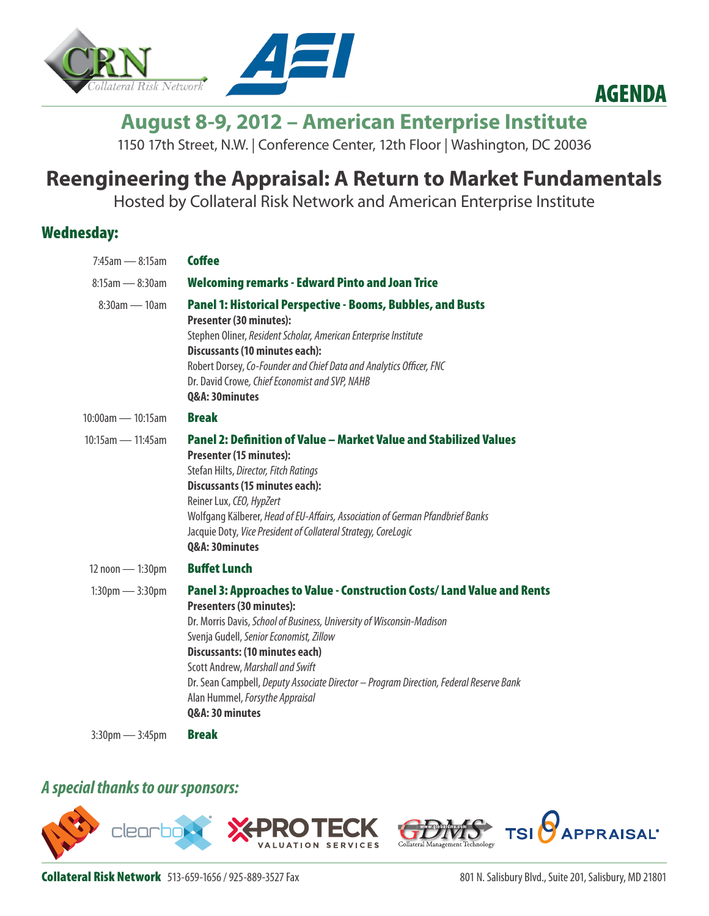



# **August 8-9, 2012 – American Enterprise Institute**

1150 17th Street, N.W. | Conference Center, 12th Floor | Washington, DC 20036

## **Reengineering the Appraisal: A Return to Market Fundamentals**

Hosted by Collateral Risk Network and American Enterprise Institute

### Wednesday:

| $7:45$ am -8:15am                 | <b>Coffee</b>                                                                                                                                                                                                                                                                                                                                                                                                                                        |
|-----------------------------------|------------------------------------------------------------------------------------------------------------------------------------------------------------------------------------------------------------------------------------------------------------------------------------------------------------------------------------------------------------------------------------------------------------------------------------------------------|
| $8:15$ am — $8:30$ am             | <b>Welcoming remarks - Edward Pinto and Joan Trice</b>                                                                                                                                                                                                                                                                                                                                                                                               |
| $8:30$ am — 10am                  | <b>Panel 1: Historical Perspective - Booms, Bubbles, and Busts</b><br><b>Presenter (30 minutes):</b><br>Stephen Oliner, Resident Scholar, American Enterprise Institute<br><b>Discussants (10 minutes each):</b><br>Robert Dorsey, Co-Founder and Chief Data and Analytics Officer, FNC<br>Dr. David Crowe, Chief Economist and SVP, NAHB<br>Q&A: 30minutes                                                                                          |
| $10:00$ am — 10:15am              | <b>Break</b>                                                                                                                                                                                                                                                                                                                                                                                                                                         |
| $10:15$ am — 11:45am              | Panel 2: Definition of Value – Market Value and Stabilized Values<br><b>Presenter (15 minutes):</b><br>Stefan Hilts, Director, Fitch Ratings<br><b>Discussants (15 minutes each):</b><br>Reiner Lux, CEO, HypZert<br>Wolfgang Kälberer, Head of EU-Affairs, Association of German Pfandbrief Banks<br>Jacquie Doty, Vice President of Collateral Strategy, CoreLogic<br>Q&A: 30minutes                                                               |
| 12 noon - 1:30pm                  | <b>Buffet Lunch</b>                                                                                                                                                                                                                                                                                                                                                                                                                                  |
| $1:30 \text{pm} - 3:30 \text{pm}$ | Panel 3: Approaches to Value - Construction Costs/ Land Value and Rents<br><b>Presenters (30 minutes):</b><br>Dr. Morris Davis, School of Business, University of Wisconsin-Madison<br>Svenja Gudell, Senior Economist, Zillow<br>Discussants: (10 minutes each)<br>Scott Andrew, Marshall and Swift<br>Dr. Sean Campbell, Deputy Associate Director - Program Direction, Federal Reserve Bank<br>Alan Hummel, Forsythe Appraisal<br>Q&A: 30 minutes |
|                                   |                                                                                                                                                                                                                                                                                                                                                                                                                                                      |

3:30pm - 3:45pm **Break** 

### *A special thanks to our sponsors:*